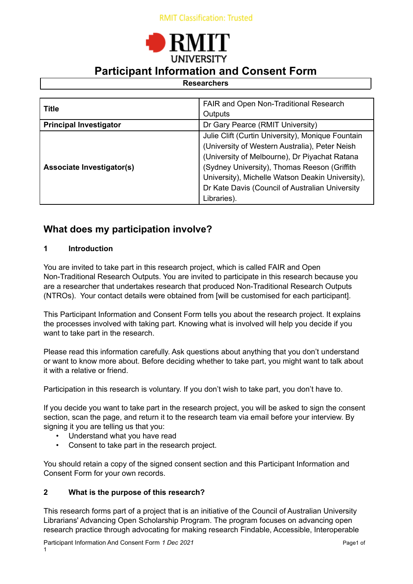# **UNIVERSITY Participant Information and Consent Form**

## **Researchers**

| <b>Title</b>                     | FAIR and Open Non-Traditional Research            |
|----------------------------------|---------------------------------------------------|
|                                  | Outputs                                           |
| <b>Principal Investigator</b>    | Dr Gary Pearce (RMIT University)                  |
|                                  | Julie Clift (Curtin University), Monique Fountain |
|                                  | (University of Western Australia), Peter Neish    |
|                                  | (University of Melbourne), Dr Piyachat Ratana     |
| <b>Associate Investigator(s)</b> | (Sydney University), Thomas Reeson (Griffith      |
|                                  | University), Michelle Watson Deakin University),  |
|                                  | Dr Kate Davis (Council of Australian University   |
|                                  | Libraries).                                       |

## **What does my participation involve?**

## **1 Introduction**

You are invited to take part in this research project, which is called FAIR and Open Non-Traditional Research Outputs. You are invited to participate in this research because you are a researcher that undertakes research that produced Non-Traditional Research Outputs (NTROs). Your contact details were obtained from [will be customised for each participant].

This Participant Information and Consent Form tells you about the research project. It explains the processes involved with taking part. Knowing what is involved will help you decide if you want to take part in the research.

Please read this information carefully. Ask questions about anything that you don't understand or want to know more about. Before deciding whether to take part, you might want to talk about it with a relative or friend.

Participation in this research is voluntary. If you don't wish to take part, you don't have to.

If you decide you want to take part in the research project, you will be asked to sign the consent section, scan the page, and return it to the research team via email before your interview. By signing it you are telling us that you:

- Understand what you have read
- Consent to take part in the research project.

You should retain a copy of the signed consent section and this Participant Information and Consent Form for your own records.

## **2 What is the purpose of this research?**

This research forms part of a project that is an initiative of the Council of Australian University Librarians' Advancing Open Scholarship Program. The program focuses on advancing open research practice through advocating for making research Findable, Accessible, Interoperable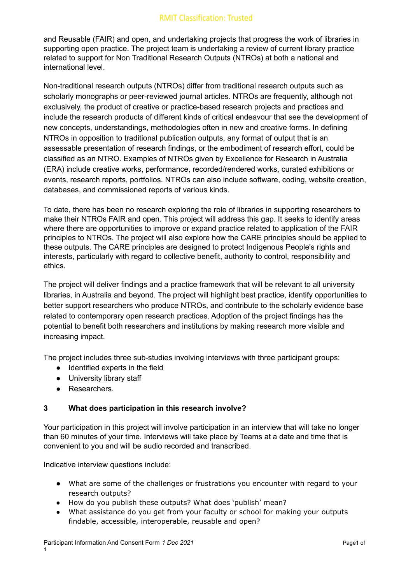and Reusable (FAIR) and open, and undertaking projects that progress the work of libraries in supporting open practice. The project team is undertaking a review of current library practice related to support for Non Traditional Research Outputs (NTROs) at both a national and international level.

Non-traditional research outputs (NTROs) differ from traditional research outputs such as scholarly monographs or peer-reviewed journal articles. NTROs are frequently, although not exclusively, the product of creative or practice-based research projects and practices and include the research products of different kinds of critical endeavour that see the development of new concepts, understandings, methodologies often in new and creative forms. In defining NTROs in opposition to traditional publication outputs, any format of output that is an assessable presentation of research findings, or the embodiment of research effort, could be classified as an NTRO. Examples of NTROs given by Excellence for Research in Australia (ERA) include creative works, performance, recorded/rendered works, curated exhibitions or events, research reports, portfolios. NTROs can also include software, coding, website creation, databases, and commissioned reports of various kinds.

To date, there has been no research exploring the role of libraries in supporting researchers to make their NTROs FAIR and open. This project will address this gap. It seeks to identify areas where there are opportunities to improve or expand practice related to application of the FAIR principles to NTROs. The project will also explore how the CARE principles should be applied to these outputs. The CARE principles are designed to protect Indigenous People's rights and interests, particularly with regard to collective benefit, authority to control, responsibility and ethics.

The project will deliver findings and a practice framework that will be relevant to all university libraries, in Australia and beyond. The project will highlight best practice, identify opportunities to better support researchers who produce NTROs, and contribute to the scholarly evidence base related to contemporary open research practices. Adoption of the project findings has the potential to benefit both researchers and institutions by making research more visible and increasing impact.

The project includes three sub-studies involving interviews with three participant groups:

- Identified experts in the field
- University library staff
- Researchers.

## **3 What does participation in this research involve?**

Your participation in this project will involve participation in an interview that will take no longer than 60 minutes of your time. Interviews will take place by Teams at a date and time that is convenient to you and will be audio recorded and transcribed.

Indicative interview questions include:

- What are some of the challenges or frustrations you encounter with regard to your research outputs?
- How do you publish these outputs? What does 'publish' mean?
- What assistance do you get from your faculty or school for making your outputs findable, accessible, interoperable, reusable and open?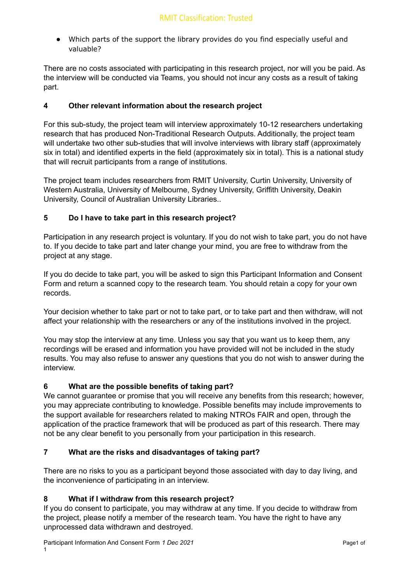Which parts of the support the library provides do you find especially useful and valuable?

There are no costs associated with participating in this research project, nor will you be paid. As the interview will be conducted via Teams, you should not incur any costs as a result of taking part.

## **4 Other relevant information about the research project**

For this sub-study, the project team will interview approximately 10-12 researchers undertaking research that has produced Non-Traditional Research Outputs. Additionally, the project team will undertake two other sub-studies that will involve interviews with library staff (approximately six in total) and identified experts in the field (approximately six in total). This is a national study that will recruit participants from a range of institutions.

The project team includes researchers from RMIT University, Curtin University, University of Western Australia, University of Melbourne, Sydney University, Griffith University, Deakin University, Council of Australian University Libraries..

## **5 Do I have to take part in this research project?**

Participation in any research project is voluntary. If you do not wish to take part, you do not have to. If you decide to take part and later change your mind, you are free to withdraw from the project at any stage.

If you do decide to take part, you will be asked to sign this Participant Information and Consent Form and return a scanned copy to the research team. You should retain a copy for your own records.

Your decision whether to take part or not to take part, or to take part and then withdraw, will not affect your relationship with the researchers or any of the institutions involved in the project.

You may stop the interview at any time. Unless you say that you want us to keep them, any recordings will be erased and information you have provided will not be included in the study results. You may also refuse to answer any questions that you do not wish to answer during the interview.

## **6 What are the possible benefits of taking part?**

We cannot guarantee or promise that you will receive any benefits from this research; however, you may appreciate contributing to knowledge. Possible benefits may include improvements to the support available for researchers related to making NTROs FAIR and open, through the application of the practice framework that will be produced as part of this research. There may not be any clear benefit to you personally from your participation in this research.

## **7 What are the risks and disadvantages of taking part?**

There are no risks to you as a participant beyond those associated with day to day living, and the inconvenience of participating in an interview.

## **8 What if I withdraw from this research project?**

If you do consent to participate, you may withdraw at any time. If you decide to withdraw from the project, please notify a member of the research team. You have the right to have any unprocessed data withdrawn and destroyed.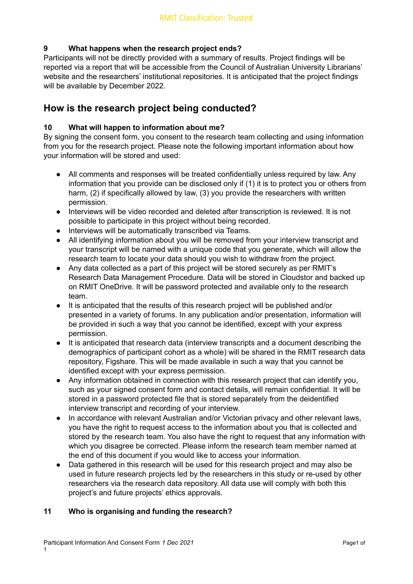## **9 What happens when the research project ends?**

Participants will not be directly provided with a summary of results. Project findings will be reported via a report that will be accessible from the Council of Australian University Librarians' website and the researchers' institutional repositories. It is anticipated that the project findings will be available by December 2022.

## **How is the research project being conducted?**

## **10 What will happen to information about me?**

By signing the consent form, you consent to the research team collecting and using information from you for the research project. Please note the following important information about how your information will be stored and used:

- All comments and responses will be treated confidentially unless required by law. Any information that you provide can be disclosed only if (1) it is to protect you or others from harm, (2) if specifically allowed by law, (3) you provide the researchers with written permission.
- Interviews will be video recorded and deleted after transcription is reviewed. It is not possible to participate in this project without being recorded.
- Interviews will be automatically transcribed via Teams.
- All identifying information about you will be removed from your interview transcript and your transcript will be named with a unique code that you generate, which will allow the research team to locate your data should you wish to withdraw from the project.
- Any data collected as a part of this project will be stored securely as per RMIT's Research Data Management Procedure. Data will be stored in Cloudstor and backed up on RMIT OneDrive. It will be password protected and available only to the research team.
- It is anticipated that the results of this research project will be published and/or presented in a variety of forums. In any publication and/or presentation, information will be provided in such a way that you cannot be identified, except with your express permission.
- It is anticipated that research data (interview transcripts and a document describing the demographics of participant cohort as a whole) will be shared in the RMIT research data repository, Figshare. This will be made available in such a way that you cannot be identified except with your express permission.
- Any information obtained in connection with this research project that can identify you, such as your signed consent form and contact details, will remain confidential. It will be stored in a password protected file that is stored separately from the deidentified interview transcript and recording of your interview.
- In accordance with relevant Australian and/or Victorian privacy and other relevant laws, you have the right to request access to the information about you that is collected and stored by the research team. You also have the right to request that any information with which you disagree be corrected. Please inform the research team member named at the end of this document if you would like to access your information.
- Data gathered in this research will be used for this research project and may also be used in future research projects led by the researchers in this study or re-used by other researchers via the research data repository. All data use will comply with both this project's and future projects' ethics approvals.

## **11 Who is organising and funding the research?**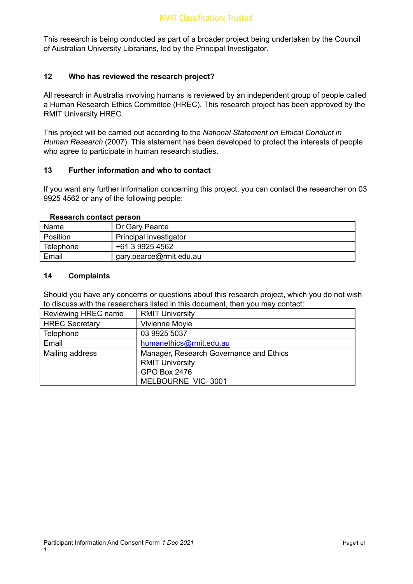This research is being conducted as part of a broader project being undertaken by the Council of Australian University Librarians, led by the Principal Investigator.

## **12 Who has reviewed the research project?**

All research in Australia involving humans is reviewed by an independent group of people called a Human Research Ethics Committee (HREC). This research project has been approved by the RMIT University HREC.

This project will be carried out according to the *National Statement on Ethical Conduct in Human Research* (2007). This statement has been developed to protect the interests of people who agree to participate in human research studies.

## **13 Further information and who to contact**

If you want any further information concerning this project, you can contact the researcher on 03 9925 4562 or any of the following people:

#### **Research contact person**

| Name      | Dr Gary Pearce          |
|-----------|-------------------------|
| Position  | Principal investigator  |
| Telephone | +61 3 9925 4562         |
| Email     | gary.pearce@rmit.edu.au |

## **14 Complaints**

Should you have any concerns or questions about this research project, which you do not wish to discuss with the researchers listed in this document, then you may contact:

| Reviewing HREC name   | <b>RMIT University</b>                                                                                         |
|-----------------------|----------------------------------------------------------------------------------------------------------------|
| <b>HREC Secretary</b> | Vivienne Moyle                                                                                                 |
| Telephone             | 03 9925 5037                                                                                                   |
| Email                 | humanethics@rmit.edu.au                                                                                        |
| Mailing address       | Manager, Research Governance and Ethics<br><b>RMIT University</b><br><b>GPO Box 2476</b><br>MELBOURNE VIC 3001 |